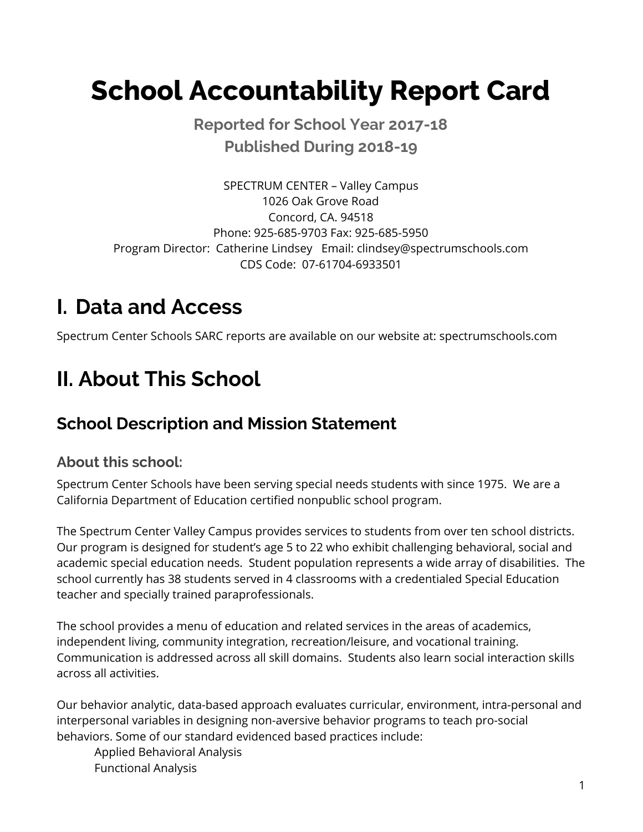# **School Accountability Report Card**

 **Reported for School Year 2017-18 Published During 2018-19**

 SPECTRUM CENTER – Valley Campus 1026 Oak Grove Road Concord, CA. 94518 Phone: 925-685-9703 Fax: 925-685-5950 Program Director: Catherine Lindsey Email: [clindsey@spectrumschools.com](mailto:clindsey@spectrumschools.com) CDS Code: 07-61704-6933501

# **I. Data and Access**

Spectrum Center Schools SARC reports are available on our website at: [spectrumschools.com](https://spectrumschools.com)

# **II. About This School**

# **School Description and Mission Statement**

#### **About this school:**

 Spectrum Center Schools have been serving special needs students with since 1975. We are a California Department of Education certified nonpublic school program.

 The Spectrum Center Valley Campus provides services to students from over ten school districts. Our program is designed for student's age 5 to 22 who exhibit challenging behavioral, social and academic special education needs. Student population represents a wide array of disabilities. The school currently has 38 students served in 4 classrooms with a credentialed Special Education teacher and specially trained paraprofessionals.

 The school provides a menu of education and related services in the areas of academics, independent living, community integration, recreation/leisure, and vocational training. Communication is addressed across all skill domains. Students also learn social interaction skills across all activities.

 Our behavior analytic, data-based approach evaluates curricular, environment, intra-personal and interpersonal variables in designing non-aversive behavior programs to teach pro-social behaviors. Some of our standard evidenced based practices include:

 Applied Behavioral Analysis Functional Analysis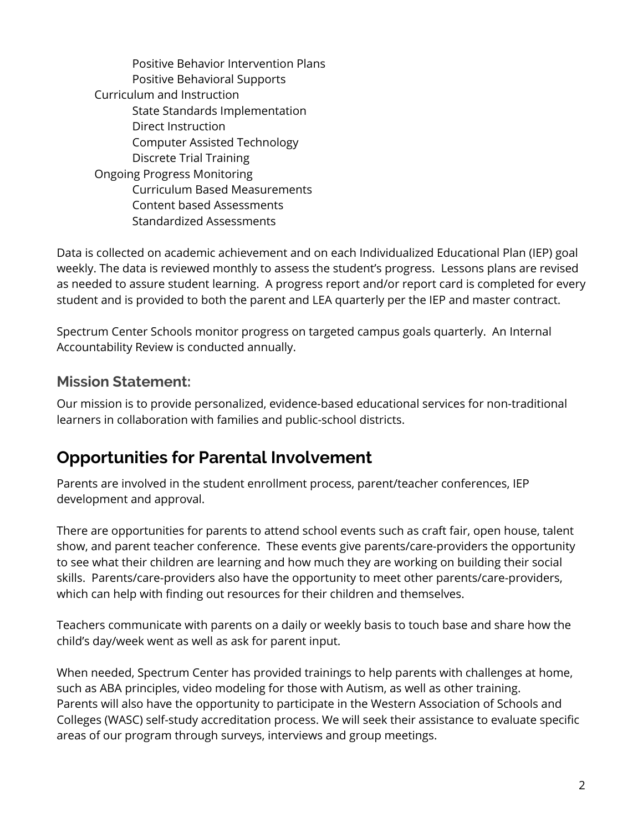Positive Behavior Intervention Plans Positive Behavioral Supports Curriculum and Instruction State Standards Implementation Computer Assisted Technology Discrete Trial Training Ongoing Progress Monitoring Curriculum Based Measurements Content based Assessments Direct Instruction Standardized Assessments

 Data is collected on academic achievement and on each Individualized Educational Plan (IEP) goal weekly. The data is reviewed monthly to assess the student's progress. Lessons plans are revised as needed to assure student learning. A progress report and/or report card is completed for every student and is provided to both the parent and LEA quarterly per the IEP and master contract.

 Spectrum Center Schools monitor progress on targeted campus goals quarterly. An Internal Accountability Review is conducted annually.

#### **Mission Statement:**

 Our mission is to provide personalized, evidence-based educational services for non-traditional learners in collaboration with families and public-school districts.

## **Opportunities for Parental Involvement**

 Parents are involved in the student enrollment process, parent/teacher conferences, IEP development and approval.

 There are opportunities for parents to attend school events such as craft fair, open house, talent show, and parent teacher conference. These events give parents/care-providers the opportunity to see what their children are learning and how much they are working on building their social skills. Parents/care-providers also have the opportunity to meet other parents/care-providers, which can help with finding out resources for their children and themselves.

 Teachers communicate with parents on a daily or weekly basis to touch base and share how the child's day/week went as well as ask for parent input.

 When needed, Spectrum Center has provided trainings to help parents with challenges at home, such as ABA principles, video modeling for those with Autism, as well as other training. Parents will also have the opportunity to participate in the Western Association of Schools and Colleges (WASC) self-study accreditation process. We will seek their assistance to evaluate specific areas of our program through surveys, interviews and group meetings.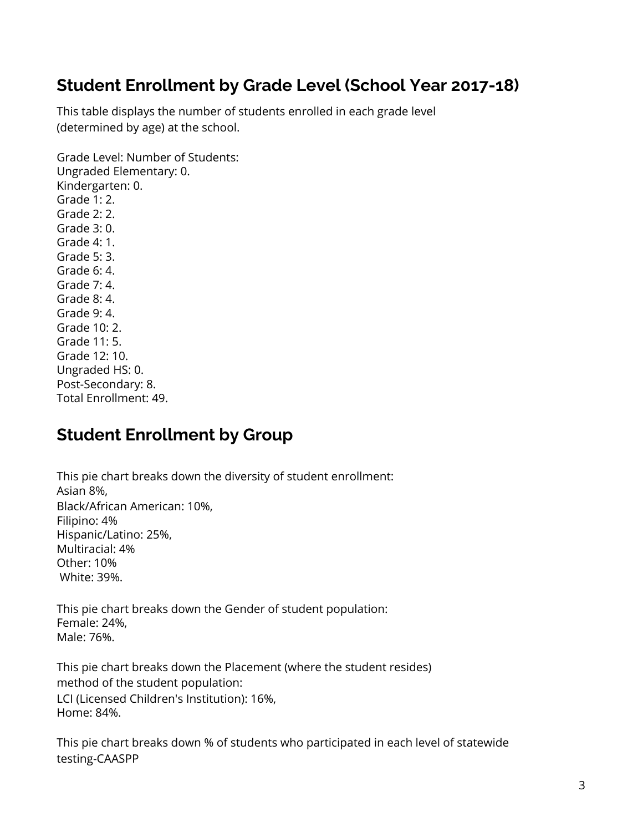## **Student Enrollment by Grade Level (School Year 2017-18)**

 This table displays the number of students enrolled in each grade level (determined by age) at the school.

 Grade Level: Number of Students: Grade 1: 2. Grade 2: 2. Grade 3: 0. Grade 4: 1. Grade 5: 3. Grade 6: 4. Grade 7: 4. Grade 8: 4. Grade 9: 4. Grade 10: 2. Grade 11: 5. Grade 12: 10. Ungraded HS: 0. Ungraded Elementary: 0. Kindergarten: 0. Post-Secondary: 8.

Total Enrollment: 49.

### **Student Enrollment by Group**

 This pie chart breaks down the diversity of student enrollment: Black/African American: 10%, White: 39%. Asian 8%, Filipino: 4% Hispanic/Latino: 25%, Multiracial: 4% Other: 10%

 This pie chart breaks down the Gender of student population: Female: 24%, Male: 76%.

 This pie chart breaks down the Placement (where the student resides) method of the student population: LCI (Licensed Children's Institution): 16%, Home: 84%.

 This pie chart breaks down % of students who participated in each level of statewide testing-CAASPP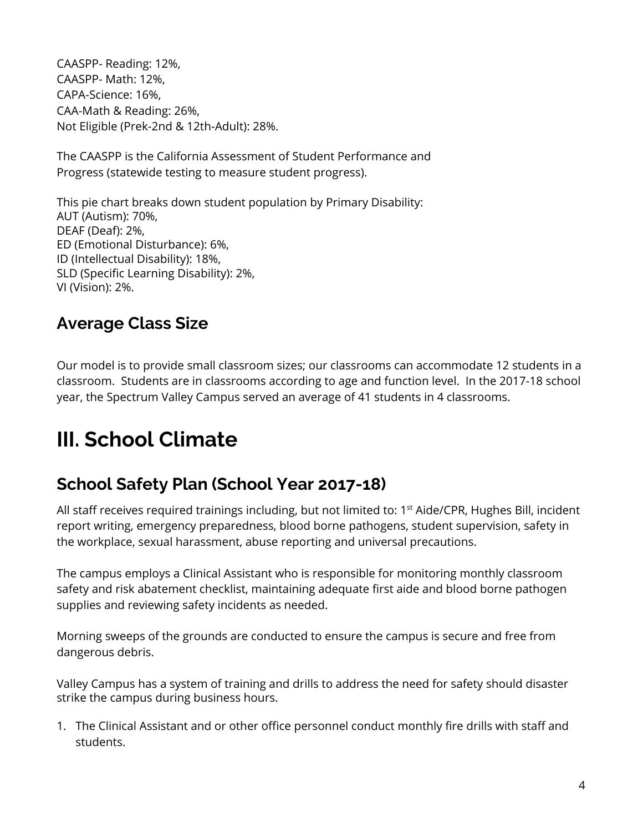CAASPP- Reading: 12%, CAASPP- Math: 12%, CAA-Math & Reading: 26%, Not Eligible (Prek-2nd & 12th-Adult): 28%. CAPA-Science: 16%,

 The CAASPP is the California Assessment of Student Performance and Progress (statewide testing to measure student progress).

 This pie chart breaks down student population by Primary Disability: AUT (Autism): 70%, DEAF (Deaf): 2%, ID (Intellectual Disability): 18%, SLD (Specific Learning Disability): 2%, VI (Vision): 2%. ED (Emotional Disturbance): 6%,

### **Average Class Size**

 Our model is to provide small classroom sizes; our classrooms can accommodate 12 students in a classroom. Students are in classrooms according to age and function level. In the 2017-18 school year, the Spectrum Valley Campus served an average of 41 students in 4 classrooms.

# **III. School Climate**

## **School Safety Plan (School Year 2017-18)**

All staff receives required trainings including, but not limited to: 1<sup>st</sup> Aide/CPR, Hughes Bill, incident report writing, emergency preparedness, blood borne pathogens, student supervision, safety in the workplace, sexual harassment, abuse reporting and universal precautions.

 The campus employs a Clinical Assistant who is responsible for monitoring monthly classroom safety and risk abatement checklist, maintaining adequate first aide and blood borne pathogen supplies and reviewing safety incidents as needed.

 Morning sweeps of the grounds are conducted to ensure the campus is secure and free from dangerous debris.

 Valley Campus has a system of training and drills to address the need for safety should disaster strike the campus during business hours.

 1. The Clinical Assistant and or other office personnel conduct monthly fire drills with staff and students.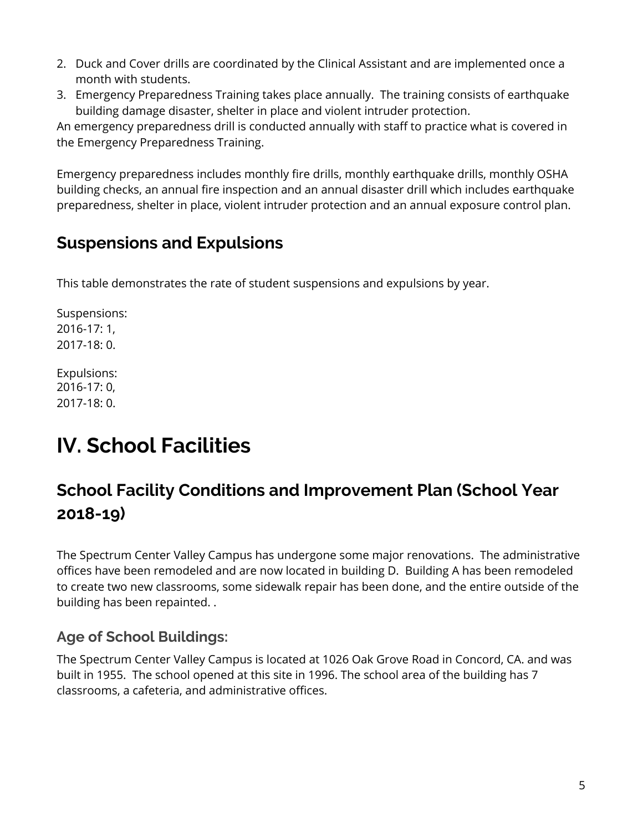- 2. Duck and Cover drills are coordinated by the Clinical Assistant and are implemented once a month with students.
- 3. Emergency Preparedness Training takes place annually. The training consists of earthquake building damage disaster, shelter in place and violent intruder protection.

 An emergency preparedness drill is conducted annually with staff to practice what is covered in the Emergency Preparedness Training.

 Emergency preparedness includes monthly fire drills, monthly earthquake drills, monthly OSHA building checks, an annual fire inspection and an annual disaster drill which includes earthquake preparedness, shelter in place, violent intruder protection and an annual exposure control plan.

## **Suspensions and Expulsions**

This table demonstrates the rate of student suspensions and expulsions by year.

Suspensions: 2016-17: 1, 2017-18: 0.

Expulsions: 2016-17: 0, 2017-18: 0.

# **IV. School Facilities**

## **School Facility Conditions and Improvement Plan (School Year 2018-19)**

 The Spectrum Center Valley Campus has undergone some major renovations. The administrative offices have been remodeled and are now located in building D. Building A has been remodeled to create two new classrooms, some sidewalk repair has been done, and the entire outside of the building has been repainted. .

#### **Age of School Buildings:**

 The Spectrum Center Valley Campus is located at 1026 Oak Grove Road in Concord, CA. and was built in 1955. The school opened at this site in 1996. The school area of the building has 7 classrooms, a cafeteria, and administrative offices.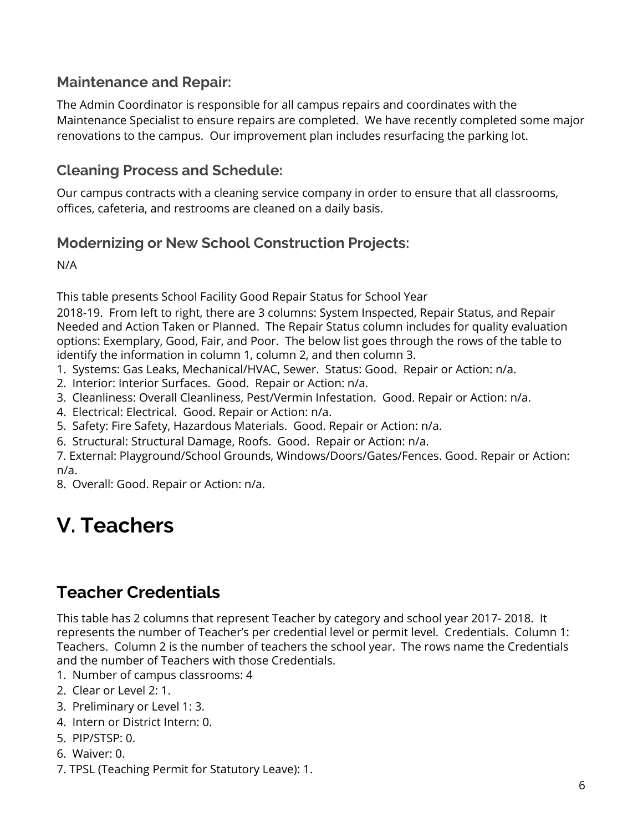#### **Maintenance and Repair:**

 The Admin Coordinator is responsible for all campus repairs and coordinates with the Maintenance Specialist to ensure repairs are completed. We have recently completed some major renovations to the campus. Our improvement plan includes resurfacing the parking lot.

#### **Cleaning Process and Schedule:**

 Our campus contracts with a cleaning service company in order to ensure that all classrooms, offices, cafeteria, and restrooms are cleaned on a daily basis.

#### **Modernizing or New School Construction Projects:**

N/A

This table presents School Facility Good Repair Status for School Year

 2018-19. From left to right, there are 3 columns: System Inspected, Repair Status, and Repair Needed and Action Taken or Planned. The Repair Status column includes for quality evaluation options: Exemplary, Good, Fair, and Poor. The below list goes through the rows of the table to identify the information in column 1, column 2, and then column 3.

- 1. Systems: Gas Leaks, Mechanical/HVAC, Sewer. Status: Good. Repair or Action: n/a.
- 2. Interior: Interior Surfaces. Good. Repair or Action: n/a.
- 3. Cleanliness: Overall Cleanliness, Pest/Vermin Infestation. Good. Repair or Action: n/a.
- 4. Electrical: Electrical. Good. Repair or Action: n/a.
- 5. Safety: Fire Safety, Hazardous Materials. Good. Repair or Action: n/a.
- 6. Structural: Structural Damage, Roofs. Good. Repair or Action: n/a.

 7. External: Playground/School Grounds, Windows/Doors/Gates/Fences. Good. Repair or Action: n/a.

8. Overall: Good. Repair or Action: n/a.

# **V. Teachers**

### **Teacher Credentials**

 This table has 2 columns that represent Teacher by category and school year 2017- 2018. It represents the number of Teacher's per credential level or permit level. Credentials. Column 1: Teachers. Column 2 is the number of teachers the school year. The rows name the Credentials and the number of Teachers with those Credentials.

- 1. Number of campus classrooms: 4
- 2. Clear or Level 2: 1.
- 3. Preliminary or Level 1: 3.
- 4. Intern or District Intern: 0.
- 5. PIP/STSP: 0.
- 6. Waiver: 0.
- 7. TPSL (Teaching Permit for Statutory Leave): 1.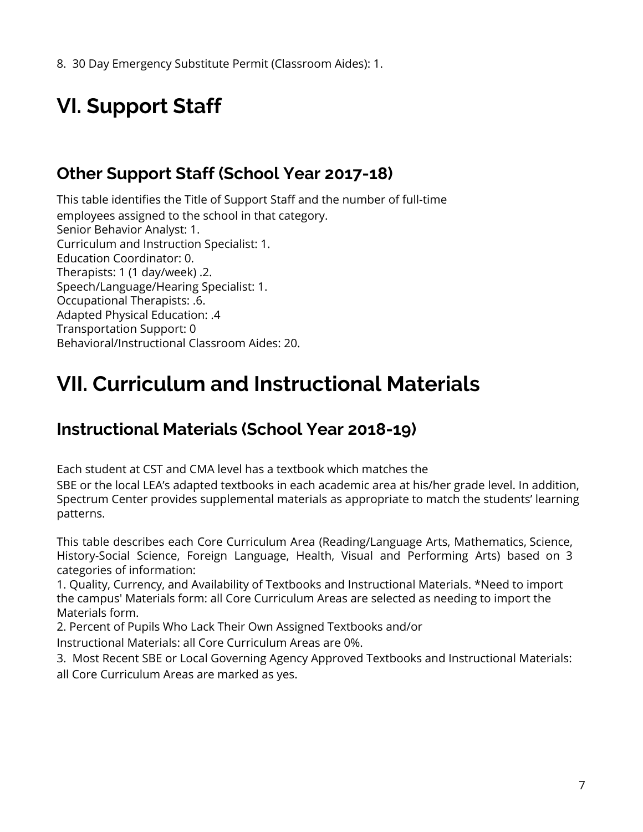8. 30 Day Emergency Substitute Permit (Classroom Aides): 1.

# **VI. Support Staff**

## **Other Support Staff (School Year 2017-18)**

 This table identifies the Title of Support Staff and the number of full-time employees assigned to the school in that category. Senior Behavior Analyst: 1. Curriculum and Instruction Specialist: 1. Therapists: 1 (1 day/week) .2. Speech/Language/Hearing Specialist: 1. Adapted Physical Education: .4 Transportation Support: 0 Behavioral/Instructional Classroom Aides: 20. Education Coordinator: 0. Occupational Therapists: .6.

# **VII. Curriculum and Instructional Materials**

## **Instructional Materials (School Year 2018-19)**

Each student at CST and CMA level has a textbook which matches the

 SBE or the local LEA's adapted textbooks in each academic area at his/her grade level. In addition, Spectrum Center provides supplemental materials as appropriate to match the students' learning patterns.

 categories of information: This table describes each Core Curriculum Area (Reading/Language Arts, Mathematics, Science, History-Social Science, Foreign Language, Health, Visual and Performing Arts) based on 3

 1. Quality, Currency, and Availability of Textbooks and Instructional Materials. \*Need to import the campus' Materials form: all Core Curriculum Areas are selected as needing to import the Materials form.

2. Percent of Pupils Who Lack Their Own Assigned Textbooks and/or

Instructional Materials: all Core Curriculum Areas are 0%.

 3. Most Recent SBE or Local Governing Agency Approved Textbooks and Instructional Materials: all Core Curriculum Areas are marked as yes.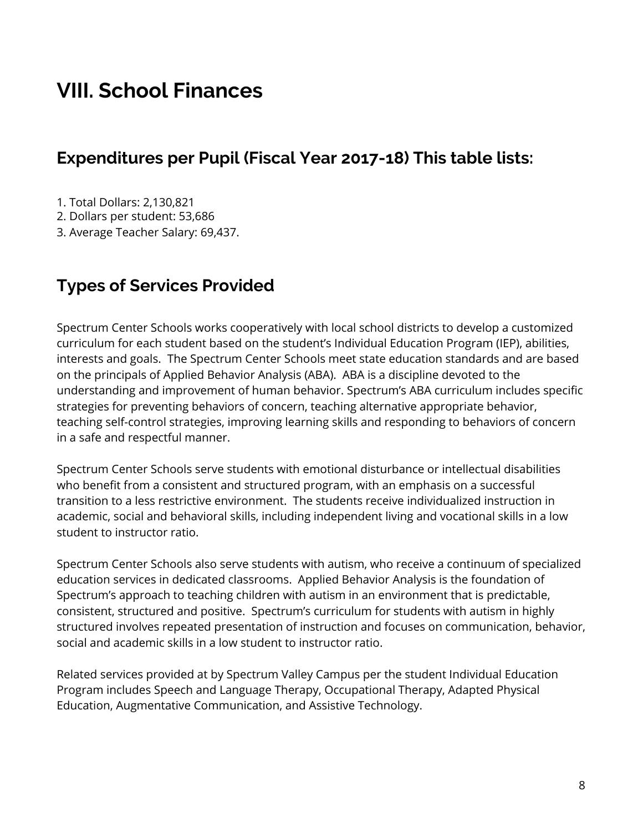# **VIII. School Finances**

#### **Expenditures per Pupil (Fiscal Year 2017-18) This table lists:**

1. Total Dollars: 2,130,821

2. Dollars per student: 53,686

3. Average Teacher Salary: 69,437.

### **Types of Services Provided**

 Spectrum Center Schools works cooperatively with local school districts to develop a customized curriculum for each student based on the student's Individual Education Program (IEP), abilities, interests and goals. The Spectrum Center Schools meet state education standards and are based on the principals of Applied Behavior Analysis (ABA). ABA is a discipline devoted to the understanding and improvement of human behavior. Spectrum's ABA curriculum includes specific strategies for preventing behaviors of concern, teaching alternative appropriate behavior, teaching self-control strategies, improving learning skills and responding to behaviors of concern in a safe and respectful manner.

 Spectrum Center Schools serve students with emotional disturbance or intellectual disabilities who benefit from a consistent and structured program, with an emphasis on a successful transition to a less restrictive environment. The students receive individualized instruction in academic, social and behavioral skills, including independent living and vocational skills in a low student to instructor ratio.

 Spectrum Center Schools also serve students with autism, who receive a continuum of specialized education services in dedicated classrooms. Applied Behavior Analysis is the foundation of Spectrum's approach to teaching children with autism in an environment that is predictable, consistent, structured and positive. Spectrum's curriculum for students with autism in highly structured involves repeated presentation of instruction and focuses on communication, behavior, social and academic skills in a low student to instructor ratio.

 Related services provided at by Spectrum Valley Campus per the student Individual Education Program includes Speech and Language Therapy, Occupational Therapy, Adapted Physical Education, Augmentative Communication, and Assistive Technology.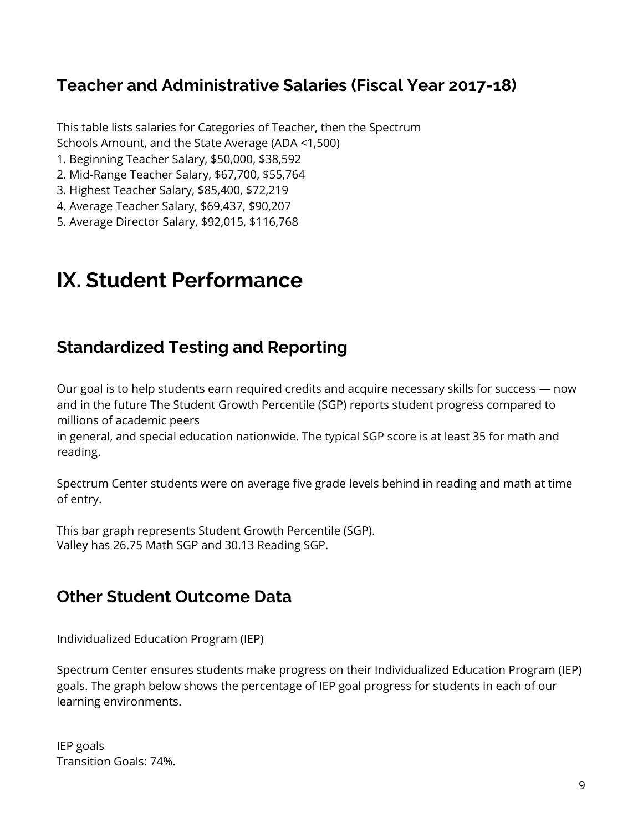#### **Teacher and Administrative Salaries (Fiscal Year 2017-18)**

 This table lists salaries for Categories of Teacher, then the Spectrum Schools Amount, and the State Average (ADA <1,500)

- 1. Beginning Teacher Salary, \$50,000, \$38,592
- 2. Mid-Range Teacher Salary, \$67,700, \$55,764
- 3. Highest Teacher Salary, \$85,400, \$72,219
- 4. Average Teacher Salary, \$69,437, \$90,207
- 5. Average Director Salary, \$92,015, \$116,768

# **IX. Student Performance**

#### **Standardized Testing and Reporting**

 Our goal is to help students earn required credits and acquire necessary skills for success — now and in the future The Student Growth Percentile (SGP) reports student progress compared to millions of academic peers

 in general, and special education nationwide. The typical SGP score is at least 35 for math and reading.

 Spectrum Center students were on average five grade levels behind in reading and math at time of entry.

 This bar graph represents Student Growth Percentile (SGP). Valley has 26.75 Math SGP and 30.13 Reading SGP.

#### **Other Student Outcome Data**

Individualized Education Program (IEP)

 Spectrum Center ensures students make progress on their Individualized Education Program (IEP) goals. The graph below shows the percentage of IEP goal progress for students in each of our learning environments.

 Transition Goals: 74%. IEP goals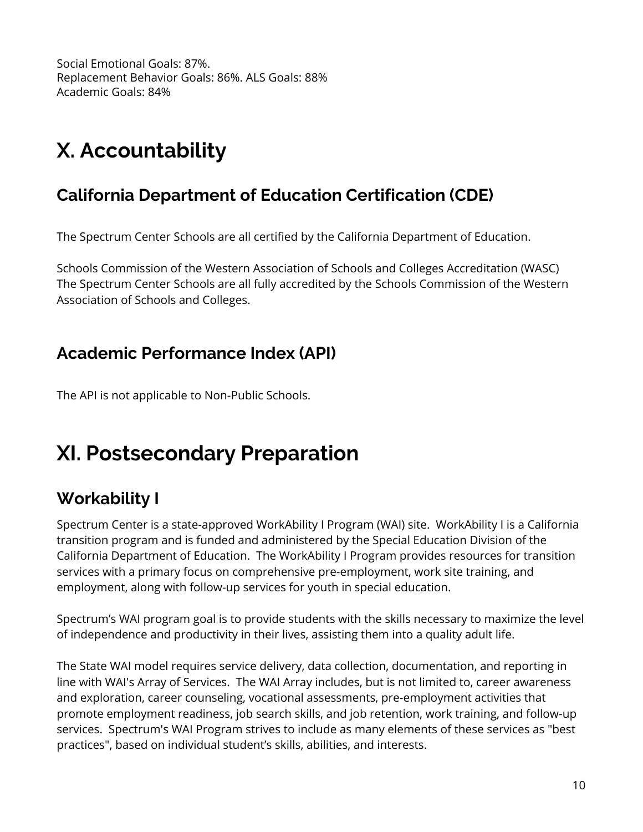Social Emotional Goals: 87%. Replacement Behavior Goals: 86%. ALS Goals: 88% Academic Goals: 84%

# **X. Accountability**

## **California Department of Education Certification (CDE)**

The Spectrum Center Schools are all certified by the California Department of Education.

 Schools Commission of the Western Association of Schools and Colleges Accreditation (WASC) The Spectrum Center Schools are all fully accredited by the Schools Commission of the Western Association of Schools and Colleges.

### **Academic Performance Index (API)**

The API is not applicable to Non-Public Schools.

# **XI. Postsecondary Preparation**

# **Workability I**

 Spectrum Center is a state-approved WorkAbility I Program (WAI) site. WorkAbility I is a California transition program and is funded and administered by the Special Education Division of the California Department of Education. The WorkAbility I Program provides resources for transition services with a primary focus on comprehensive pre-employment, work site training, and employment, along with follow-up services for youth in special education.

 Spectrum's WAI program goal is to provide students with the skills necessary to maximize the level of independence and productivity in their lives, assisting them into a quality adult life.

 The State WAI model requires service delivery, data collection, documentation, and reporting in line with WAI's Array of Services. The WAI Array includes, but is not limited to, career awareness and exploration, career counseling, vocational assessments, pre-employment activities that promote employment readiness, job search skills, and job retention, work training, and follow-up services. Spectrum's WAI Program strives to include as many elements of these services as "best practices", based on individual student's skills, abilities, and interests.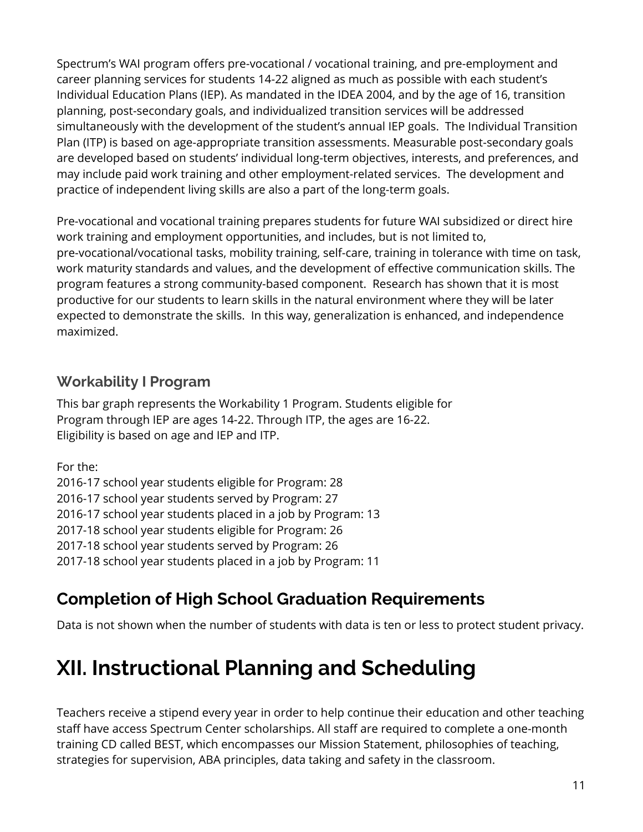Spectrum's WAI program offers pre-vocational / vocational training, and pre-employment and career planning services for students 14-22 aligned as much as possible with each student's Individual Education Plans (IEP). As mandated in the IDEA 2004, and by the age of 16, transition planning, post-secondary goals, and individualized transition services will be addressed simultaneously with the development of the student's annual IEP goals. The Individual Transition Plan (ITP) is based on age-appropriate transition assessments. Measurable post-secondary goals are developed based on students' individual long-term objectives, interests, and preferences, and may include paid work training and other employment-related services. The development and practice of independent living skills are also a part of the long-term goals.

 Pre-vocational and vocational training prepares students for future WAI subsidized or direct hire work training and employment opportunities, and includes, but is not limited to, pre-vocational/vocational tasks, mobility training, self-care, training in tolerance with time on task, work maturity standards and values, and the development of effective communication skills. The program features a strong community-based component. Research has shown that it is most productive for our students to learn skills in the natural environment where they will be later expected to demonstrate the skills. In this way, generalization is enhanced, and independence maximized.

#### **Workability I Program**

 This bar graph represents the Workability 1 Program. Students eligible for Program through IEP are ages 14-22. Through ITP, the ages are 16-22. Eligibility is based on age and IEP and ITP.

For the:

 2016-17 school year students eligible for Program: 28 2016-17 school year students placed in a job by Program: 13 2017-18 school year students eligible for Program: 26 2017-18 school year students placed in a job by Program: 11 2016-17 school year students served by Program: 27 2017-18 school year students served by Program: 26

## **Completion of High School Graduation Requirements**

Data is not shown when the number of students with data is ten or less to protect student privacy.

# **XII. Instructional Planning and Scheduling**

 Teachers receive a stipend every year in order to help continue their education and other teaching staff have access Spectrum Center scholarships. All staff are required to complete a one-month training CD called BEST, which encompasses our Mission Statement, philosophies of teaching, strategies for supervision, ABA principles, data taking and safety in the classroom.